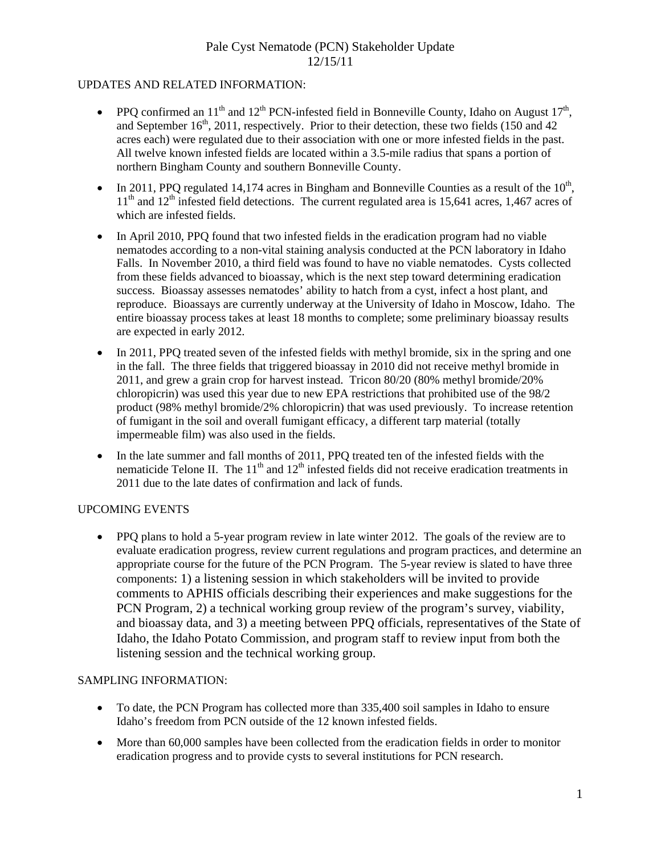### UPDATES AND RELATED INFORMATION:

- PPO confirmed an  $11<sup>th</sup>$  and  $12<sup>th</sup>$  PCN-infested field in Bonneville County, Idaho on August  $17<sup>th</sup>$ , and September  $16<sup>th</sup>$ , 2011, respectively. Prior to their detection, these two fields (150 and 42) acres each) were regulated due to their association with one or more infested fields in the past. All twelve known infested fields are located within a 3.5-mile radius that spans a portion of northern Bingham County and southern Bonneville County.
- In 2011, PPQ regulated 14,174 acres in Bingham and Bonneville Counties as a result of the  $10<sup>th</sup>$ ,  $11<sup>th</sup>$  and  $12<sup>th</sup>$  infested field detections. The current regulated area is 15,641 acres, 1,467 acres of which are infested fields.
- In April 2010, PPO found that two infested fields in the eradication program had no viable nematodes according to a non-vital staining analysis conducted at the PCN laboratory in Idaho Falls. In November 2010, a third field was found to have no viable nematodes. Cysts collected from these fields advanced to bioassay, which is the next step toward determining eradication success. Bioassay assesses nematodes' ability to hatch from a cyst, infect a host plant, and reproduce. Bioassays are currently underway at the University of Idaho in Moscow, Idaho. The entire bioassay process takes at least 18 months to complete; some preliminary bioassay results are expected in early 2012.
- In 2011, PPO treated seven of the infested fields with methyl bromide, six in the spring and one in the fall. The three fields that triggered bioassay in 2010 did not receive methyl bromide in 2011, and grew a grain crop for harvest instead. Tricon 80/20 (80% methyl bromide/20% chloropicrin) was used this year due to new EPA restrictions that prohibited use of the 98/2 product (98% methyl bromide/2% chloropicrin) that was used previously. To increase retention of fumigant in the soil and overall fumigant efficacy, a different tarp material (totally impermeable film) was also used in the fields.
- In the late summer and fall months of 2011, PPQ treated ten of the infested fields with the nematicide Telone II. The  $11<sup>th</sup>$  and  $12<sup>th</sup>$  infested fields did not receive eradication treatments in 2011 due to the late dates of confirmation and lack of funds.

## UPCOMING EVENTS

• PPQ plans to hold a 5-year program review in late winter 2012. The goals of the review are to evaluate eradication progress, review current regulations and program practices, and determine an appropriate course for the future of the PCN Program. The 5-year review is slated to have three components: 1) a listening session in which stakeholders will be invited to provide comments to APHIS officials describing their experiences and make suggestions for the PCN Program, 2) a technical working group review of the program's survey, viability, and bioassay data, and 3) a meeting between PPQ officials, representatives of the State of Idaho, the Idaho Potato Commission, and program staff to review input from both the listening session and the technical working group.

## SAMPLING INFORMATION:

- To date, the PCN Program has collected more than 335,400 soil samples in Idaho to ensure Idaho's freedom from PCN outside of the 12 known infested fields.
- More than 60,000 samples have been collected from the eradication fields in order to monitor eradication progress and to provide cysts to several institutions for PCN research.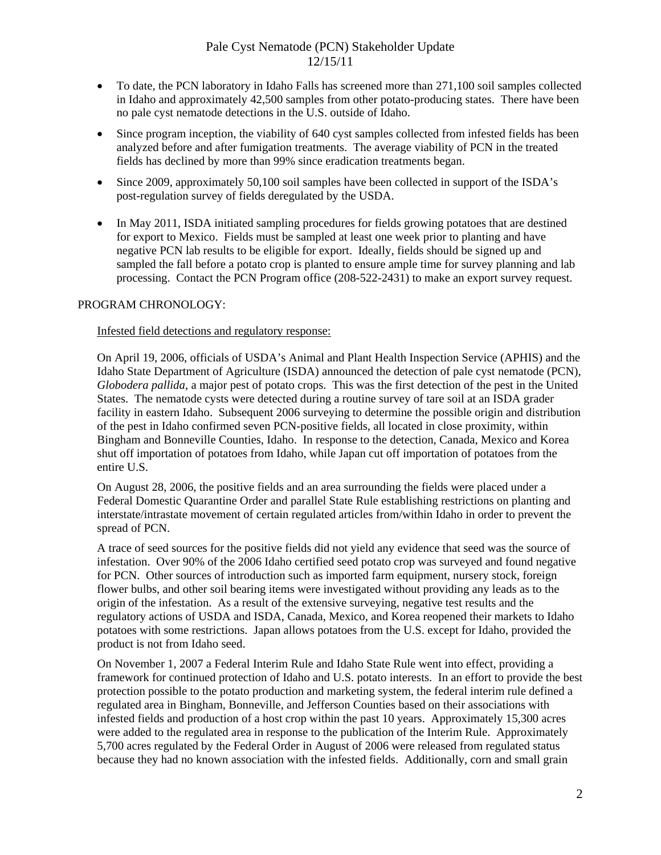- To date, the PCN laboratory in Idaho Falls has screened more than 271,100 soil samples collected in Idaho and approximately 42,500 samples from other potato-producing states. There have been no pale cyst nematode detections in the U.S. outside of Idaho.
- Since program inception, the viability of 640 cyst samples collected from infested fields has been analyzed before and after fumigation treatments. The average viability of PCN in the treated fields has declined by more than 99% since eradication treatments began.
- Since 2009, approximately 50,100 soil samples have been collected in support of the ISDA's post-regulation survey of fields deregulated by the USDA.
- In May 2011, ISDA initiated sampling procedures for fields growing potatoes that are destined for export to Mexico. Fields must be sampled at least one week prior to planting and have negative PCN lab results to be eligible for export. Ideally, fields should be signed up and sampled the fall before a potato crop is planted to ensure ample time for survey planning and lab processing. Contact the PCN Program office (208-522-2431) to make an export survey request.

### PROGRAM CHRONOLOGY:

#### Infested field detections and regulatory response:

On April 19, 2006, officials of USDA's Animal and Plant Health Inspection Service (APHIS) and the Idaho State Department of Agriculture (ISDA) announced the detection of pale cyst nematode (PCN), *Globodera pallida*, a major pest of potato crops. This was the first detection of the pest in the United States. The nematode cysts were detected during a routine survey of tare soil at an ISDA grader facility in eastern Idaho. Subsequent 2006 surveying to determine the possible origin and distribution of the pest in Idaho confirmed seven PCN-positive fields, all located in close proximity, within Bingham and Bonneville Counties, Idaho. In response to the detection, Canada, Mexico and Korea shut off importation of potatoes from Idaho, while Japan cut off importation of potatoes from the entire U.S.

On August 28, 2006, the positive fields and an area surrounding the fields were placed under a Federal Domestic Quarantine Order and parallel State Rule establishing restrictions on planting and interstate/intrastate movement of certain regulated articles from/within Idaho in order to prevent the spread of PCN.

A trace of seed sources for the positive fields did not yield any evidence that seed was the source of infestation. Over 90% of the 2006 Idaho certified seed potato crop was surveyed and found negative for PCN. Other sources of introduction such as imported farm equipment, nursery stock, foreign flower bulbs, and other soil bearing items were investigated without providing any leads as to the origin of the infestation. As a result of the extensive surveying, negative test results and the regulatory actions of USDA and ISDA, Canada, Mexico, and Korea reopened their markets to Idaho potatoes with some restrictions. Japan allows potatoes from the U.S. except for Idaho, provided the product is not from Idaho seed.

On November 1, 2007 a Federal Interim Rule and Idaho State Rule went into effect, providing a framework for continued protection of Idaho and U.S. potato interests. In an effort to provide the best protection possible to the potato production and marketing system, the federal interim rule defined a regulated area in Bingham, Bonneville, and Jefferson Counties based on their associations with infested fields and production of a host crop within the past 10 years. Approximately 15,300 acres were added to the regulated area in response to the publication of the Interim Rule. Approximately 5,700 acres regulated by the Federal Order in August of 2006 were released from regulated status because they had no known association with the infested fields. Additionally, corn and small grain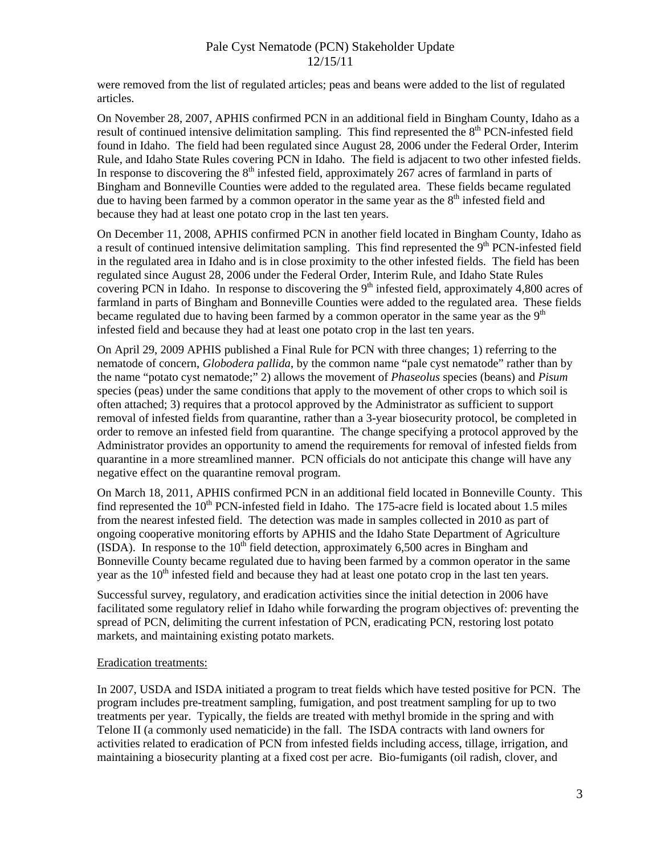were removed from the list of regulated articles; peas and beans were added to the list of regulated articles.

On November 28, 2007, APHIS confirmed PCN in an additional field in Bingham County, Idaho as a result of continued intensive delimitation sampling. This find represented the  $8<sup>th</sup>$  PCN-infested field found in Idaho. The field had been regulated since August 28, 2006 under the Federal Order, Interim Rule, and Idaho State Rules covering PCN in Idaho. The field is adjacent to two other infested fields. In response to discovering the  $8<sup>th</sup>$  infested field, approximately 267 acres of farmland in parts of Bingham and Bonneville Counties were added to the regulated area. These fields became regulated due to having been farmed by a common operator in the same year as the  $8<sup>th</sup>$  infested field and because they had at least one potato crop in the last ten years.

On December 11, 2008, APHIS confirmed PCN in another field located in Bingham County, Idaho as a result of continued intensive delimitation sampling. This find represented the  $9<sup>th</sup>$  PCN-infested field in the regulated area in Idaho and is in close proximity to the other infested fields. The field has been regulated since August 28, 2006 under the Federal Order, Interim Rule, and Idaho State Rules covering PCN in Idaho. In response to discovering the  $9<sup>th</sup>$  infested field, approximately 4,800 acres of farmland in parts of Bingham and Bonneville Counties were added to the regulated area. These fields became regulated due to having been farmed by a common operator in the same year as the  $9<sup>th</sup>$ infested field and because they had at least one potato crop in the last ten years.

On April 29, 2009 APHIS published a Final Rule for PCN with three changes; 1) referring to the nematode of concern, *Globodera pallida*, by the common name "pale cyst nematode" rather than by the name "potato cyst nematode;" 2) allows the movement of *Phaseolus* species (beans) and *Pisum* species (peas) under the same conditions that apply to the movement of other crops to which soil is often attached; 3) requires that a protocol approved by the Administrator as sufficient to support removal of infested fields from quarantine, rather than a 3-year biosecurity protocol, be completed in order to remove an infested field from quarantine. The change specifying a protocol approved by the Administrator provides an opportunity to amend the requirements for removal of infested fields from quarantine in a more streamlined manner. PCN officials do not anticipate this change will have any negative effect on the quarantine removal program.

On March 18, 2011, APHIS confirmed PCN in an additional field located in Bonneville County. This find represented the  $10<sup>th</sup>$  PCN-infested field in Idaho. The 175-acre field is located about 1.5 miles from the nearest infested field. The detection was made in samples collected in 2010 as part of ongoing cooperative monitoring efforts by APHIS and the Idaho State Department of Agriculture (ISDA). In response to the  $10<sup>th</sup>$  field detection, approximately 6,500 acres in Bingham and Bonneville County became regulated due to having been farmed by a common operator in the same year as the  $10<sup>th</sup>$  infested field and because they had at least one potato crop in the last ten years.

Successful survey, regulatory, and eradication activities since the initial detection in 2006 have facilitated some regulatory relief in Idaho while forwarding the program objectives of: preventing the spread of PCN, delimiting the current infestation of PCN, eradicating PCN, restoring lost potato markets, and maintaining existing potato markets.

### Eradication treatments:

In 2007, USDA and ISDA initiated a program to treat fields which have tested positive for PCN. The program includes pre-treatment sampling, fumigation, and post treatment sampling for up to two treatments per year. Typically, the fields are treated with methyl bromide in the spring and with Telone II (a commonly used nematicide) in the fall. The ISDA contracts with land owners for activities related to eradication of PCN from infested fields including access, tillage, irrigation, and maintaining a biosecurity planting at a fixed cost per acre. Bio-fumigants (oil radish, clover, and